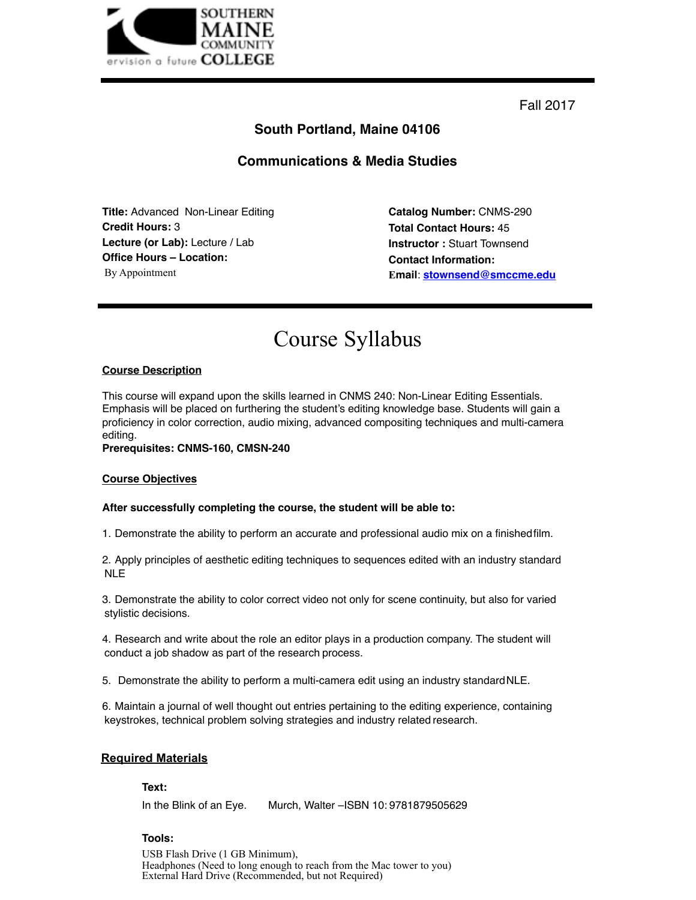

Fall 2017

# **South Portland, Maine 04106**

# **Communications & Media Studies**

**Title:** Advanced Non-Linear Editing **Credit Hours:** 3 **Lecture (or Lab):** Lecture / Lab **Office Hours – Location:** By Appointment

**Catalog Number:** CNMS-290 **Total Contact Hours:** 45 **Instructor :** Stuart Townsend **Contact Information: Email**: **[stownsend@smccme.edu](mailto:stownsend@smccme.edu)**

# Course Syllabus

# **Course Description**

This course will expand upon the skills learned in CNMS 240: Non-Linear Editing Essentials. Emphasis will be placed on furthering the student's editing knowledge base. Students will gain a proficiency in color correction, audio mixing, advanced compositing techniques and multi-camera editing.

# **Prerequisites: CNMS-160, CMSN-240**

#### **Course Objectives**

# **After successfully completing the course, the student will be able to:**

1. Demonstrate the ability to perform an accurate and professional audio mix on a finishedfilm.

2. Apply principles of aesthetic editing techniques to sequences edited with an industry standard NLE

3. Demonstrate the ability to color correct video not only for scene continuity, but also for varied stylistic decisions.

4. Research and write about the role an editor plays in a production company. The student will conduct a job shadow as part of the research process.

5. Demonstrate the ability to perform a multi-camera edit using an industry standardNLE.

6. Maintain a journal of well thought out entries pertaining to the editing experience, containing keystrokes, technical problem solving strategies and industry related research.

# **Required Materials**

## **Text:**

In the Blink of an Eye. Murch, Walter –ISBN 10:9781879505629

# **Tools:**

USB Flash Drive (1 GB Minimum), Headphones (Need to long enough to reach from the Mac tower to you) External Hard Drive (Recommended, but not Required)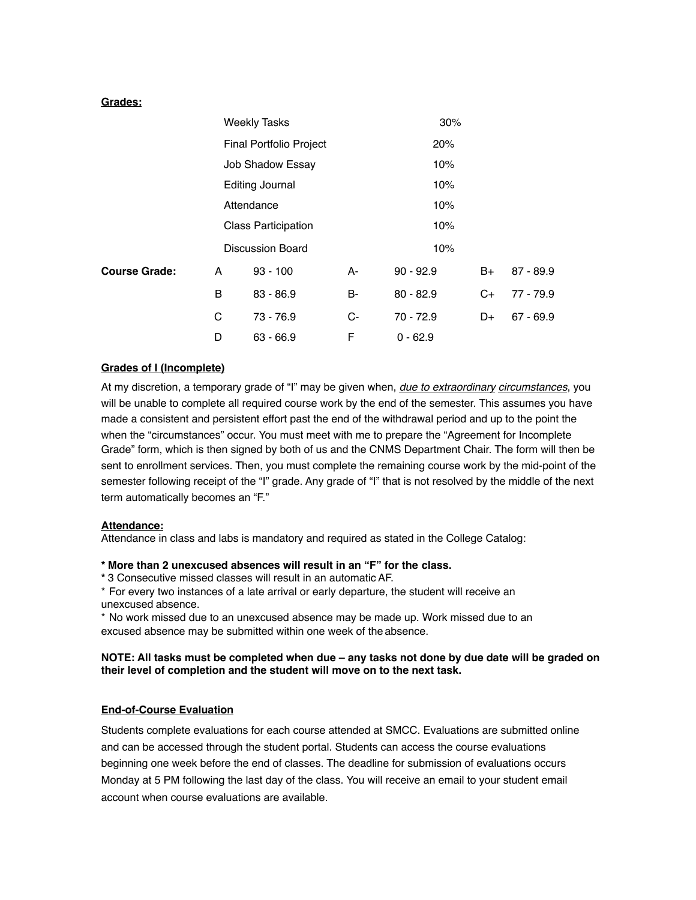# **Grades:**

|                      | <b>Weekly Tasks</b>                                                                                               |             |    | 30%               |    |             |
|----------------------|-------------------------------------------------------------------------------------------------------------------|-------------|----|-------------------|----|-------------|
|                      | Final Portfolio Project                                                                                           |             |    | 20%               |    |             |
|                      | Job Shadow Essay<br><b>Editing Journal</b><br>Attendance<br><b>Class Participation</b><br><b>Discussion Board</b> |             |    | 10%<br>10%<br>10% |    |             |
|                      |                                                                                                                   |             |    |                   |    |             |
|                      |                                                                                                                   |             |    |                   |    |             |
|                      |                                                                                                                   |             |    | 10%               |    |             |
|                      |                                                                                                                   |             |    | 10%               |    |             |
| <b>Course Grade:</b> | A                                                                                                                 | $93 - 100$  | A- | $90 - 92.9$       | B+ | $87 - 89.9$ |
|                      | B                                                                                                                 | $83 - 86.9$ | B- | $80 - 82.9$       | C+ | $77 - 79.9$ |
|                      | С                                                                                                                 | $73 - 76.9$ | C- | $70 - 72.9$       | D+ | $67 - 69.9$ |
|                      | D                                                                                                                 | $63 - 66.9$ | F  | $0 - 62.9$        |    |             |

# **Grades of I (Incomplete)**

At my discretion, a temporary grade of "I" may be given when, *due to extraordinary circumstances*, you will be unable to complete all required course work by the end of the semester. This assumes you have made a consistent and persistent effort past the end of the withdrawal period and up to the point the when the "circumstances" occur. You must meet with me to prepare the "Agreement for Incomplete Grade" form, which is then signed by both of us and the CNMS Department Chair. The form will then be sent to enrollment services. Then, you must complete the remaining course work by the mid-point of the semester following receipt of the "I" grade. Any grade of "I" that is not resolved by the middle of the next term automatically becomes an "F."

# **Attendance:**

Attendance in class and labs is mandatory and required as stated in the College Catalog:

# **\* More than 2 unexcused absences will result in an "F" for the class.**

**\*** 3 Consecutive missed classes will result in an automatic AF.

\* For every two instances of a late arrival or early departure, the student will receive an unexcused absence.

\* No work missed due to an unexcused absence may be made up. Work missed due to an excused absence may be submitted within one week of the absence.

# **NOTE: All tasks must be completed when due – any tasks not done by due date will be graded on their level of completion and the student will move on to the next task.**

# **End-of-Course Evaluation**

Students complete evaluations for each course attended at SMCC. Evaluations are submitted online and can be accessed through the student portal. Students can access the course evaluations beginning one week before the end of classes. The deadline for submission of evaluations occurs Monday at 5 PM following the last day of the class. You will receive an email to your student email account when course evaluations are available.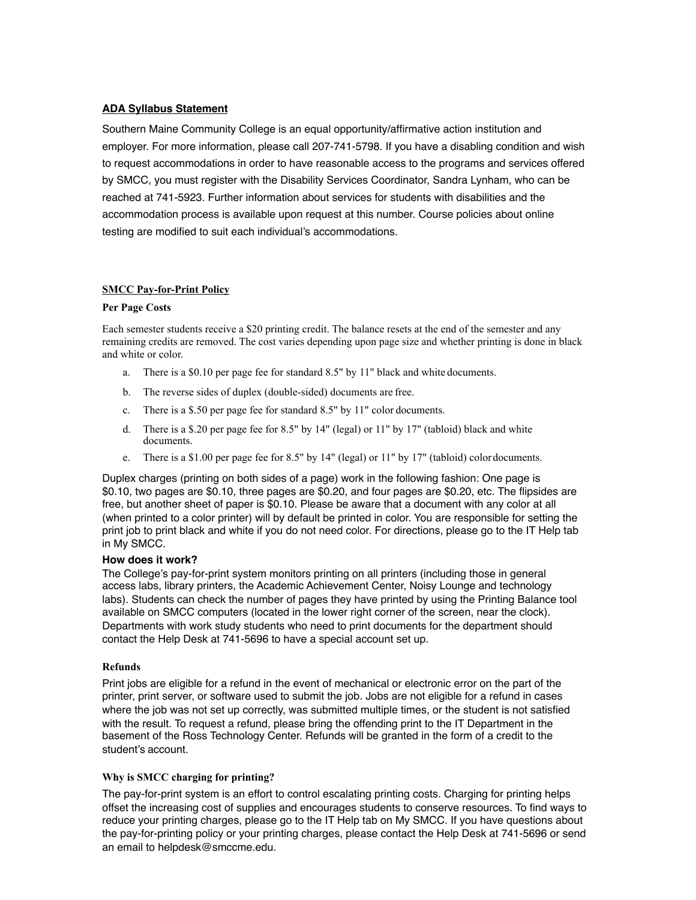# **ADA Syllabus Statement**

Southern Maine Community College is an equal opportunity/affirmative action institution and employer. For more information, please call 207-741-5798. If you have a disabling condition and wish to request accommodations in order to have reasonable access to the programs and services offered by SMCC, you must register with the Disability Services Coordinator, Sandra Lynham, who can be reached at 741-5923. Further information about services for students with disabilities and the accommodation process is available upon request at this number. Course policies about online testing are modified to suit each individual's accommodations.

# **SMCC Pay-for-Print Policy**

#### **Per Page Costs**

Each semester students receive a \$20 printing credit. The balance resets at the end of the semester and any remaining credits are removed. The cost varies depending upon page size and whether printing is done in black and white or color.

- a. There is a \$0.10 per page fee for standard 8.5" by 11" black and white documents.
- b. The reverse sides of duplex (double-sided) documents are free.
- c. There is a \$.50 per page fee for standard 8.5" by 11" color documents.
- d. There is a \$.20 per page fee for 8.5" by 14" (legal) or 11" by 17" (tabloid) black and white documents.
- e. There is a \$1.00 per page fee for 8.5" by 14" (legal) or 11" by 17" (tabloid) colordocuments.

Duplex charges (printing on both sides of a page) work in the following fashion: One page is \$0.10, two pages are \$0.10, three pages are \$0.20, and four pages are \$0.20, etc. The flipsides are free, but another sheet of paper is \$0.10. Please be aware that a document with any color at all (when printed to a color printer) will by default be printed in color. You are responsible for setting the print job to print black and white if you do not need color. For directions, please go to the IT Help tab in My SMCC.

#### **How does it work?**

The College's pay-for-print system monitors printing on all printers (including those in general access labs, library printers, the Academic Achievement Center, Noisy Lounge and technology labs). Students can check the number of pages they have printed by using the Printing Balance tool available on SMCC computers (located in the lower right corner of the screen, near the clock). Departments with work study students who need to print documents for the department should contact the Help Desk at 741-5696 to have a special account set up.

#### **Refunds**

Print jobs are eligible for a refund in the event of mechanical or electronic error on the part of the printer, print server, or software used to submit the job. Jobs are not eligible for a refund in cases where the job was not set up correctly, was submitted multiple times, or the student is not satisfied with the result. To request a refund, please bring the offending print to the IT Department in the basement of the Ross Technology Center. Refunds will be granted in the form of a credit to the student's account.

#### **Why is SMCC charging for printing?**

The pay-for-print system is an effort to control escalating printing costs. Charging for printing helps offset the increasing cost of supplies and encourages students to conserve resources. To find ways to reduce your printing charges, please go to the IT Help tab on My SMCC. If you have questions about the pay-for-printing policy or your printing charges, please contact the Help Desk at 741-5696 or send an email to [helpdesk@smccme.edu.](mailto:helpdesk@smccme.edu)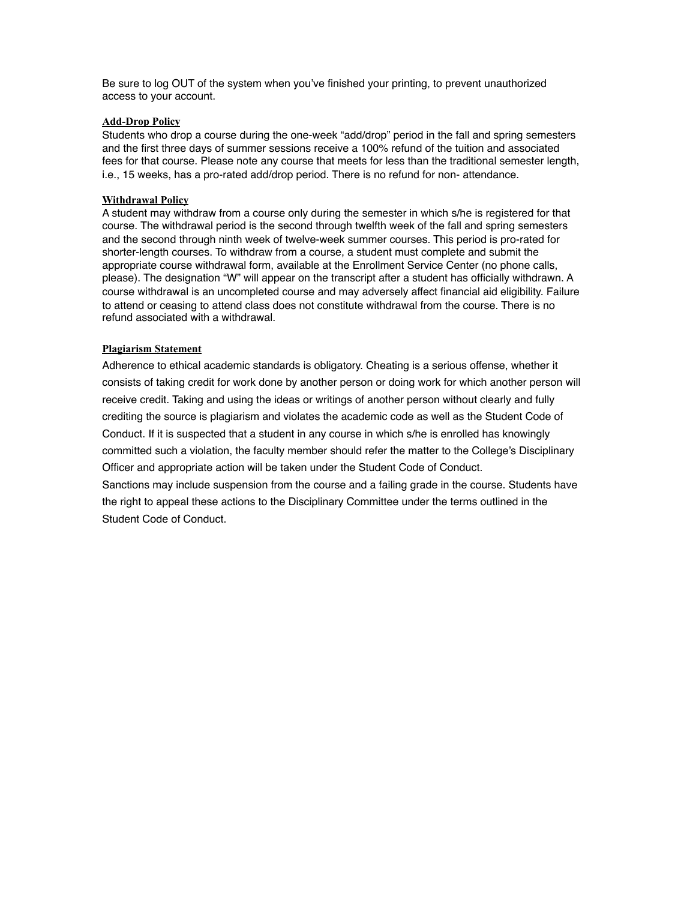Be sure to log OUT of the system when you've finished your printing, to prevent unauthorized access to your account.

#### **Add-Drop Policy**

Students who drop a course during the one-week "add/drop" period in the fall and spring semesters and the first three days of summer sessions receive a 100% refund of the tuition and associated fees for that course. Please note any course that meets for less than the traditional semester length, i.e., 15 weeks, has a pro-rated add/drop period. There is no refund for non- attendance.

#### **Withdrawal Policy**

A student may withdraw from a course only during the semester in which s/he is registered for that course. The withdrawal period is the second through twelfth week of the fall and spring semesters and the second through ninth week of twelve-week summer courses. This period is pro-rated for shorter-length courses. To withdraw from a course, a student must complete and submit the appropriate course withdrawal form, available at the Enrollment Service Center (no phone calls, please). The designation "W" will appear on the transcript after a student has officially withdrawn. A course withdrawal is an uncompleted course and may adversely affect financial aid eligibility. Failure to attend or ceasing to attend class does not constitute withdrawal from the course. There is no refund associated with a withdrawal.

#### **Plagiarism Statement**

Adherence to ethical academic standards is obligatory. Cheating is a serious offense, whether it consists of taking credit for work done by another person or doing work for which another person will receive credit. Taking and using the ideas or writings of another person without clearly and fully crediting the source is plagiarism and violates the academic code as well as the Student Code of Conduct. If it is suspected that a student in any course in which s/he is enrolled has knowingly committed such a violation, the faculty member should refer the matter to the College's Disciplinary Officer and appropriate action will be taken under the Student Code of Conduct. Sanctions may include suspension from the course and a failing grade in the course. Students have the right to appeal these actions to the Disciplinary Committee under the terms outlined in the Student Code of Conduct.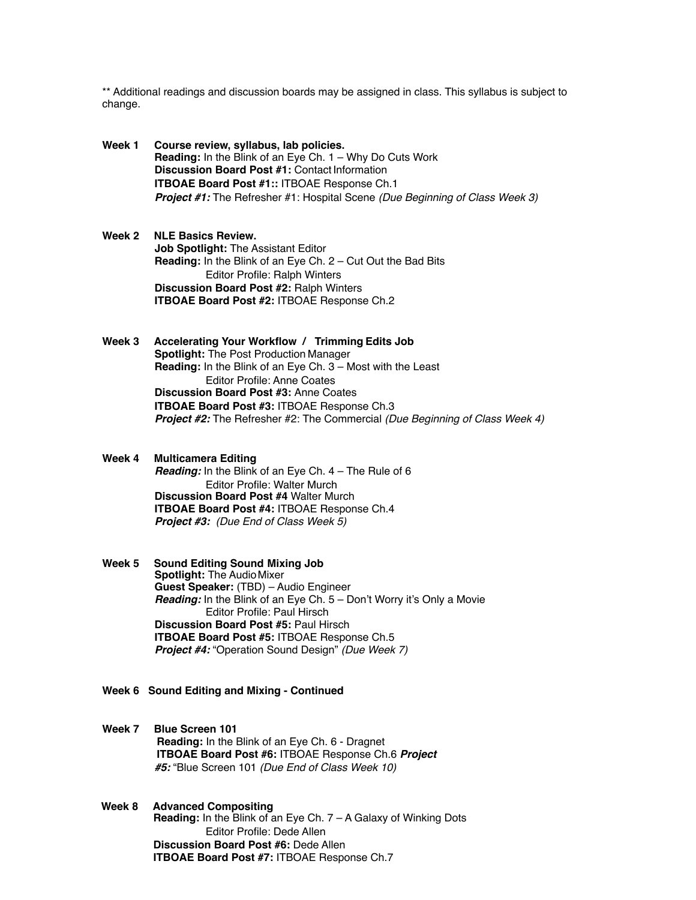\*\* Additional readings and discussion boards may be assigned in class. This syllabus is subject to change.

- **Week 1 Course review, syllabus, lab policies. Reading:** In the Blink of an Eye Ch. 1 – Why Do Cuts Work **Discussion Board Post #1:** Contact Information **ITBOAE Board Post #1::** ITBOAE Response Ch.1 *Project #1:* The Refresher #1: Hospital Scene *(Due Beginning of Class Week 3)*
- **Week 2 NLE Basics Review. Job Spotlight:** The Assistant Editor **Reading:** In the Blink of an Eye Ch. 2 – Cut Out the Bad Bits Editor Profile: Ralph Winters **Discussion Board Post #2:** Ralph Winters **ITBOAE Board Post #2:** ITBOAE Response Ch.2
- **Week 3 Accelerating Your Workflow / Trimming Edits Job Spotlight:** The Post Production Manager **Reading:** In the Blink of an Eye Ch. 3 – Most with the Least Editor Profile: Anne Coates **Discussion Board Post #3:** Anne Coates **ITBOAE Board Post #3:** ITBOAE Response Ch.3 *Project #2:* The Refresher #2: The Commercial *(Due Beginning of Class Week 4)*
- **Week 4 Multicamera Editing**  *Reading:* In the Blink of an Eye Ch. 4 – The Rule of 6 Editor Profile: Walter Murch **Discussion Board Post #4** Walter Murch **ITBOAE Board Post #4:** ITBOAE Response Ch.4 *Project #3: (Due End of Class Week 5)*
- **Week 5 Sound Editing Sound Mixing Job Spotlight: The Audio Mixer Guest Speaker:** (TBD) – Audio Engineer *Reading:* In the Blink of an Eye Ch. 5 – Don't Worry it's Only a Movie Editor Profile: Paul Hirsch **Discussion Board Post #5:** Paul Hirsch **ITBOAE Board Post #5:** ITBOAE Response Ch.5 *Project #4:* "Operation Sound Design" *(Due Week 7)*
- **Week 6 Sound Editing and Mixing Continued**

**Week 7 Blue Screen 101 Reading:** In the Blink of an Eye Ch. 6 - Dragnet **ITBOAE Board Post #6:** ITBOAE Response Ch.6 *Project #5:* "Blue Screen 101 *(Due End of Class Week 10)*

**Week 8 Advanced Compositing Reading:** In the Blink of an Eye Ch. 7 – A Galaxy of Winking Dots Editor Profile: Dede Allen **Discussion Board Post #6:** Dede Allen **ITBOAE Board Post #7:** ITBOAE Response Ch.7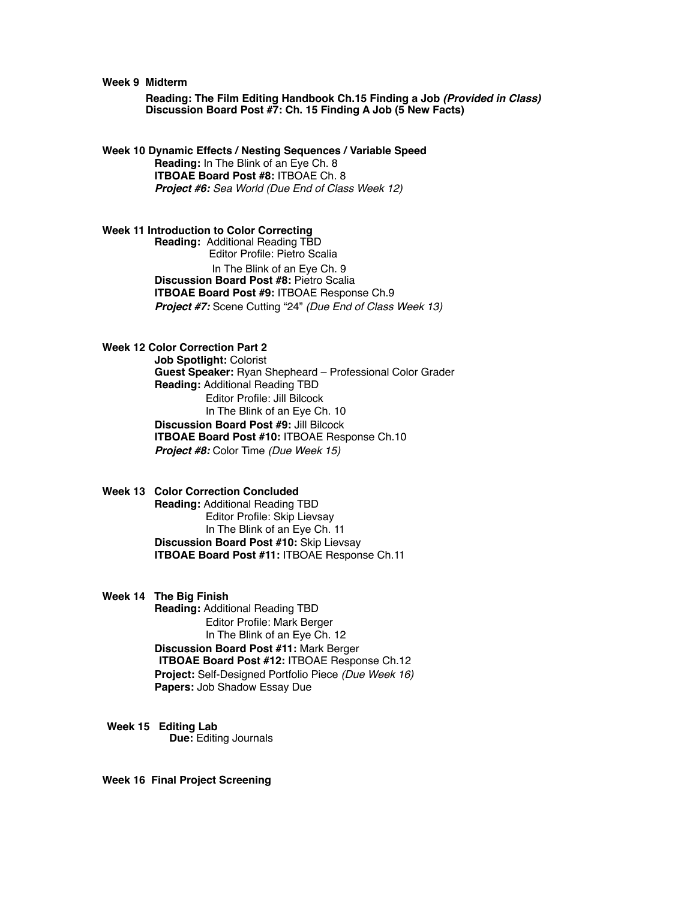#### **Week 9 Midterm**

 **Reading: The Film Editing Handbook Ch.15 Finding a Job** *(Provided in Class)* **Discussion Board Post #7: Ch. 15 Finding A Job (5 New Facts)**

**Week 10 Dynamic Effects / Nesting Sequences / Variable Speed Reading:** In The Blink of an Eye Ch. 8 **ITBOAE Board Post #8:** ITBOAE Ch. 8 *Project #6: Sea World (Due End of Class Week 12)*

**Week 11 Introduction to Color Correcting** 

**Reading:** Additional Reading TBD Editor Profile: Pietro Scalia In The Blink of an Eye Ch. 9 **Discussion Board Post #8:** Pietro Scalia **ITBOAE Board Post #9:** ITBOAE Response Ch.9 *Project #7:* Scene Cutting "24" *(Due End of Class Week 13)*

# **Week 12 Color Correction Part 2**

**Job Spotlight:** Colorist **Guest Speaker:** Ryan Shepheard – Professional Color Grader **Reading:** Additional Reading TBD Editor Profile: Jill Bilcock In The Blink of an Eye Ch. 10 **Discussion Board Post #9:** Jill Bilcock **ITBOAE Board Post #10:** ITBOAE Response Ch.10 *Project #8:* Color Time *(Due Week 15)*

**Week 13 Color Correction Concluded Reading:** Additional Reading TBD Editor Profile: Skip Lievsay In The Blink of an Eye Ch. 11 **Discussion Board Post #10:** Skip Lievsay **ITBOAE Board Post #11:** ITBOAE Response Ch.11

# **Week 14 The Big Finish**

**Reading:** Additional Reading TBD Editor Profile: Mark Berger In The Blink of an Eye Ch. 12 **Discussion Board Post #11:** Mark Berger **ITBOAE Board Post #12:** ITBOAE Response Ch.12 **Project:** Self-Designed Portfolio Piece *(Due Week 16)*  **Papers:** Job Shadow Essay Due

**Week 15 Editing Lab Due:** Editing Journals

**Week 16 Final Project Screening**